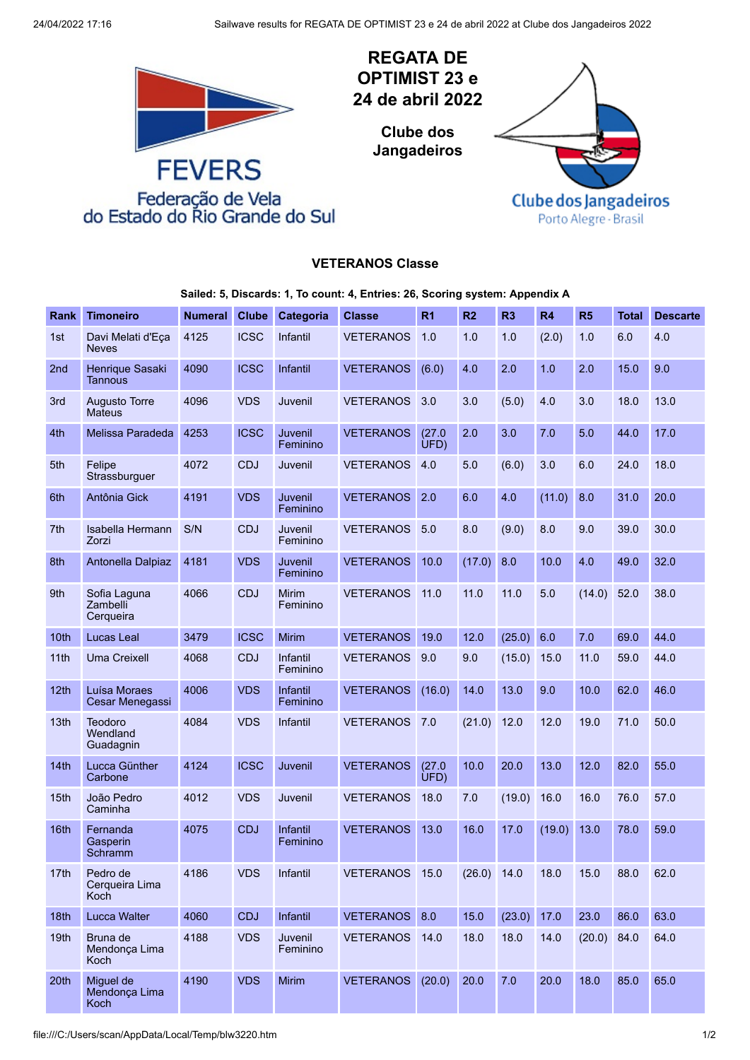

## **VETERANOS Classe**

**Sailed: 5, Discards: 1, To count: 4, Entries: 26, Scoring system: Appendix A**

| <b>Rank</b>      | <b>Timoneiro</b>                      | <b>Numeral</b> | <b>Clube</b> | Categoria                | <b>Classe</b>    | R <sub>1</sub> | R <sub>2</sub> | R <sub>3</sub> | <b>R4</b> | R <sub>5</sub> | <b>Total</b> | <b>Descarte</b> |
|------------------|---------------------------------------|----------------|--------------|--------------------------|------------------|----------------|----------------|----------------|-----------|----------------|--------------|-----------------|
| 1st              | Davi Melati d'Eça<br><b>Neves</b>     | 4125           | <b>ICSC</b>  | Infantil                 | <b>VETERANOS</b> | 1.0            | 1.0            | 1.0            | (2.0)     | 1.0            | 6.0          | 4.0             |
| 2 <sub>nd</sub>  | Henrique Sasaki<br>Tannous            | 4090           | <b>ICSC</b>  | Infantil                 | <b>VETERANOS</b> | (6.0)          | 4.0            | 2.0            | 1.0       | 2.0            | 15.0         | 9.0             |
| 3rd              | <b>Augusto Torre</b><br><b>Mateus</b> | 4096           | <b>VDS</b>   | Juvenil                  | <b>VETERANOS</b> | 3.0            | 3.0            | (5.0)          | 4.0       | 3.0            | 18.0         | 13.0            |
| 4th              | Melissa Paradeda                      | 4253           | <b>ICSC</b>  | Juvenil<br>Feminino      | <b>VETERANOS</b> | (27.0)<br>UFD  | 2.0            | 3.0            | 7.0       | 5.0            | 44.0         | 17.0            |
| 5th              | Felipe<br>Strassburguer               | 4072           | <b>CDJ</b>   | Juvenil                  | <b>VETERANOS</b> | 4.0            | 5.0            | (6.0)          | 3.0       | 6.0            | 24.0         | 18.0            |
| 6th              | Antônia Gick                          | 4191           | <b>VDS</b>   | Juvenil<br>Feminino      | <b>VETERANOS</b> | 2.0            | 6.0            | 4.0            | (11.0)    | 8.0            | 31.0         | 20.0            |
| 7th              | Isabella Hermann<br>Zorzi             | S/N            | <b>CDJ</b>   | Juvenil<br>Feminino      | <b>VETERANOS</b> | 5.0            | 8.0            | (9.0)          | 8.0       | 9.0            | 39.0         | 30.0            |
| 8th              | Antonella Dalpiaz                     | 4181           | <b>VDS</b>   | Juvenil<br>Feminino      | <b>VETERANOS</b> | 10.0           | (17.0)         | 8.0            | 10.0      | 4.0            | 49.0         | 32.0            |
| 9th              | Sofia Laguna<br>Zambelli<br>Cerqueira | 4066           | <b>CDJ</b>   | <b>Mirim</b><br>Feminino | <b>VETERANOS</b> | 11.0           | 11.0           | 11.0           | 5.0       | (14.0)         | 52.0         | 38.0            |
| 10th             | Lucas Leal                            | 3479           | <b>ICSC</b>  | Mirim                    | <b>VETERANOS</b> | 19.0           | 12.0           | (25.0)         | 6.0       | 7.0            | 69.0         | 44.0            |
| 11th             | <b>Uma Creixell</b>                   | 4068           | <b>CDJ</b>   | Infantil<br>Feminino     | <b>VETERANOS</b> | 9.0            | 9.0            | (15.0)         | 15.0      | 11.0           | 59.0         | 44.0            |
| 12th             | Luísa Moraes<br>Cesar Menegassi       | 4006           | <b>VDS</b>   | Infantil<br>Feminino     | <b>VETERANOS</b> | (16.0)         | 14.0           | 13.0           | 9.0       | 10.0           | 62.0         | 46.0            |
| 13 <sub>th</sub> | Teodoro<br>Wendland<br>Guadagnin      | 4084           | <b>VDS</b>   | Infantil                 | <b>VETERANOS</b> | 7.0            | (21.0)         | 12.0           | 12.0      | 19.0           | 71.0         | 50.0            |
| 14th             | Lucca Günther<br>Carbone              | 4124           | <b>ICSC</b>  | Juvenil                  | <b>VETERANOS</b> | (27.0)<br>UFD  | 10.0           | 20.0           | 13.0      | 12.0           | 82.0         | 55.0            |
| 15th             | João Pedro<br>Caminha                 | 4012           | <b>VDS</b>   | Juvenil                  | <b>VETERANOS</b> | 18.0           | 7.0            | (19.0)         | 16.0      | 16.0           | 76.0         | 57.0            |
| 16th             | Fernanda<br>Gasperin<br>Schramm       | 4075           | <b>CDJ</b>   | Infantil<br>Feminino     | <b>VETERANOS</b> | 13.0           | 16.0           | 17.0           | (19.0)    | 13.0           | 78.0         | 59.0            |
| 17th             | Pedro de<br>Cerqueira Lima<br>Koch    | 4186           | <b>VDS</b>   | Infantil                 | VETERANOS 15.0   |                | $(26.0)$ 14.0  |                | 18.0      | 15.0           | 88.0         | 62.0            |
| 18th             | <b>Lucca Walter</b>                   | 4060           | <b>CDJ</b>   | Infantil                 | VETERANOS 8.0    |                | 15.0           | (23.0)         | 17.0      | 23.0           | 86.0         | 63.0            |
| 19th             | Bruna de<br>Mendonça Lima<br>Koch     | 4188           | <b>VDS</b>   | Juvenil<br>Feminino      | <b>VETERANOS</b> | 14.0           | 18.0           | 18.0           | 14.0      | $(20.0)$ 84.0  |              | 64.0            |
| 20th             | Miguel de<br>Mendonça Lima<br>Koch    | 4190           | <b>VDS</b>   | Mirim                    | <b>VETERANOS</b> | (20.0)         | 20.0           | 7.0            | 20.0      | 18.0           | 85.0         | 65.0            |